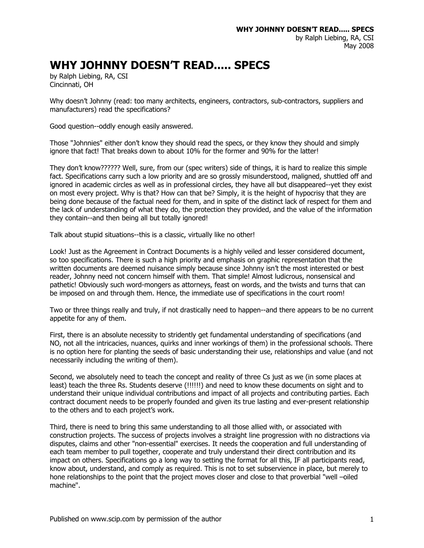## **WHY JOHNNY DOESN'T READ..... SPECS**

by Ralph Liebing, RA, CSI Cincinnati, OH

Why doesn't Johnny (read: too many architects, engineers, contractors, sub-contractors, suppliers and manufacturers) read the specifications?

Good question--oddly enough easily answered.

Those "Johnnies" either don't know they should read the specs, or they know they should and simply ignore that fact! That breaks down to about 10% for the former and 90% for the latter!

They don't know?????? Well, sure, from our (spec writers) side of things, it is hard to realize this simple fact. Specifications carry such a low priority and are so grossly misunderstood, maligned, shuttled off and ignored in academic circles as well as in professional circles, they have all but disappeared--yet they exist on most every project. Why is that? How can that be? Simply, it is the height of hypocrisy that they are being done because of the factual need for them, and in spite of the distinct lack of respect for them and the lack of understanding of what they do, the protection they provided, and the value of the information they contain--and then being all but totally ignored!

Talk about stupid situations--this is a classic, virtually like no other!

Look! Just as the Agreement in Contract Documents is a highly veiled and lesser considered document, so too specifications. There is such a high priority and emphasis on graphic representation that the written documents are deemed nuisance simply because since Johnny isn't the most interested or best reader, Johnny need not concern himself with them. That simple! Almost ludicrous, nonsensical and pathetic! Obviously such word-mongers as attorneys, feast on words, and the twists and turns that can be imposed on and through them. Hence, the immediate use of specifications in the court room!

Two or three things really and truly, if not drastically need to happen--and there appears to be no current appetite for any of them.

First, there is an absolute necessity to stridently get fundamental understanding of specifications (and NO, not all the intricacies, nuances, quirks and inner workings of them) in the professional schools. There is no option here for planting the seeds of basic understanding their use, relationships and value (and not necessarily including the writing of them).

Second, we absolutely need to teach the concept and reality of three Cs just as we (in some places at least) teach the three Rs. Students deserve (!!!!!!) and need to know these documents on sight and to understand their unique individual contributions and impact of all projects and contributing parties. Each contract document needs to be properly founded and given its true lasting and ever-present relationship to the others and to each project's work.

Third, there is need to bring this same understanding to all those allied with, or associated with construction projects. The success of projects involves a straight line progression with no distractions via disputes, claims and other "non-essential" exercises. It needs the cooperation and full understanding of each team member to pull together, cooperate and truly understand their direct contribution and its impact on others. Specifications go a long way to setting the format for all this, IF all participants read, know about, understand, and comply as required. This is not to set subservience in place, but merely to hone relationships to the point that the project moves closer and close to that proverbial "well –oiled machine".